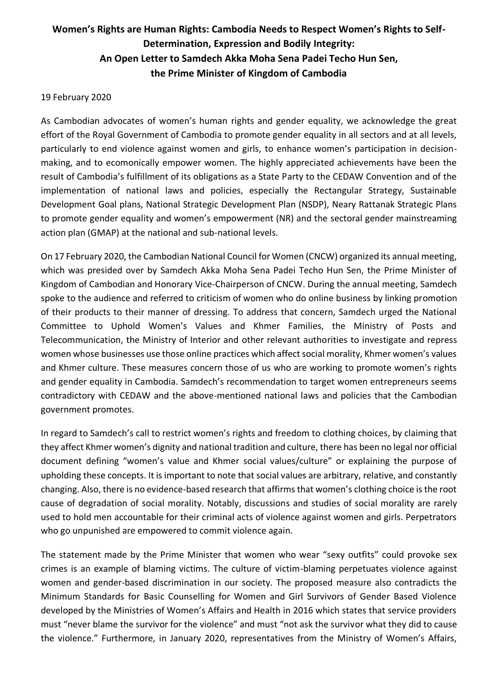## **Women's Rights are Human Rights: Cambodia Needs to Respect Women's Rights to Self-Determination, Expression and Bodily Integrity: An Open Letter to Samdech Akka Moha Sena Padei Techo Hun Sen, the Prime Minister of Kingdom of Cambodia**

## 19 February 2020

As Cambodian advocates of women's human rights and gender equality, we acknowledge the great effort of the Royal Government of Cambodia to promote gender equality in all sectors and at all levels, particularly to end violence against women and girls, to enhance women's participation in decisionmaking, and to ecomonically empower women. The highly appreciated achievements have been the result of Cambodia's fulfillment of its obligations as a State Party to the CEDAW Convention and of the implementation of national laws and policies, especially the Rectangular Strategy, Sustainable Development Goal plans, National Strategic Development Plan (NSDP), Neary Rattanak Strategic Plans to promote gender equality and women's empowerment (NR) and the sectoral gender mainstreaming action plan (GMAP) at the national and sub-national levels.

On 17 February 2020, the Cambodian National Council for Women (CNCW) organized its annual meeting, which was presided over by Samdech Akka Moha Sena Padei Techo Hun Sen, the Prime Minister of Kingdom of Cambodian and Honorary Vice-Chairperson of CNCW. During the annual meeting, Samdech spoke to the audience and referred to criticism of women who do online business by linking promotion of their products to their manner of dressing. To address that concern, Samdech urged the National Committee to Uphold Women's Values and Khmer Families, the Ministry of Posts and Telecommunication, the Ministry of Interior and other relevant authorities to investigate and repress women whose businesses use those online practices which affect social morality, Khmer women's values and Khmer culture. These measures concern those of us who are working to promote women's rights and gender equality in Cambodia. Samdech's recommendation to target women entrepreneurs seems contradictory with CEDAW and the above-mentioned national laws and policies that the Cambodian government promotes.

In regard to Samdech's call to restrict women's rights and freedom to clothing choices, by claiming that they affect Khmer women's dignity and national tradition and culture, there has been no legal nor official document defining "women's value and Khmer social values/culture" or explaining the purpose of upholding these concepts. It is important to note that social values are arbitrary, relative, and constantly changing. Also, there is no evidence-based research that affirms that women's clothing choice is the root cause of degradation of social morality. Notably, discussions and studies of social morality are rarely used to hold men accountable for their criminal acts of violence against women and girls. Perpetrators who go unpunished are empowered to commit violence again.

The statement made by the Prime Minister that women who wear "sexy outfits" could provoke sex crimes is an example of blaming victims. The culture of victim-blaming perpetuates violence against women and gender-based discrimination in our society. The proposed measure also contradicts the Minimum Standards for Basic Counselling for Women and Girl Survivors of Gender Based Violence developed by the Ministries of Women's Affairs and Health in 2016 which states that service providers must "never blame the survivor for the violence" and must "not ask the survivor what they did to cause the violence." Furthermore, in January 2020, representatives from the Ministry of Women's Affairs,